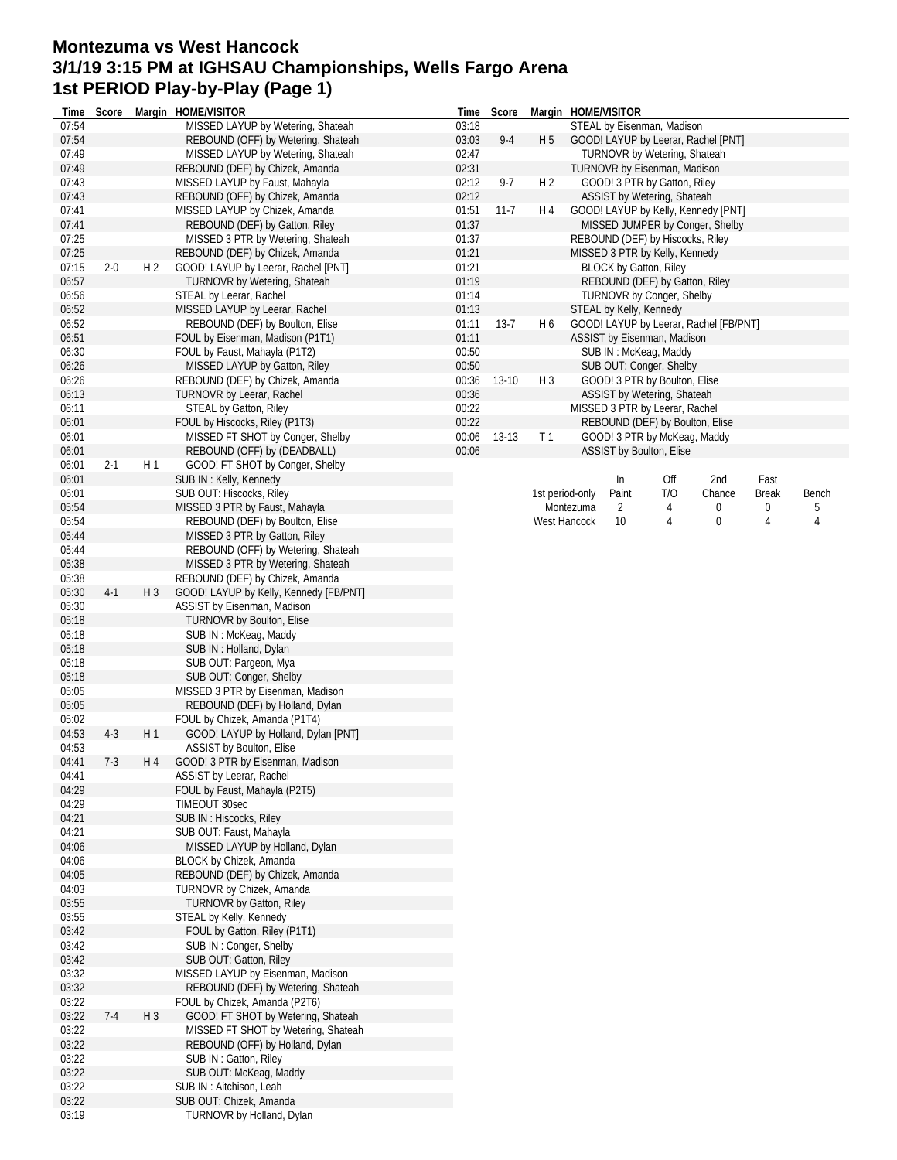## **Montezuma vs West Hancock 3/1/19 3:15 PM at IGHSAU Championships, Wells Fargo Arena 1st PERIOD Play-by-Play (Page 1)**

| Time           | Score   |                | Margin HOME/VISITOR                    | Time  | Score    |                |                 | Margin HOME/VISITOR              |     |                                        |              |       |
|----------------|---------|----------------|----------------------------------------|-------|----------|----------------|-----------------|----------------------------------|-----|----------------------------------------|--------------|-------|
| 07:54          |         |                | MISSED LAYUP by Wetering, Shateah      | 03:18 |          |                |                 | STEAL by Eisenman, Madison       |     |                                        |              |       |
| 07:54          |         |                | REBOUND (OFF) by Wetering, Shateah     | 03:03 | $9 - 4$  | H <sub>5</sub> |                 |                                  |     | GOOD! LAYUP by Leerar, Rachel [PNT]    |              |       |
| 07:49          |         |                | MISSED LAYUP by Wetering, Shateah      | 02:47 |          |                |                 | TURNOVR by Wetering, Shateah     |     |                                        |              |       |
| 07:49          |         |                | REBOUND (DEF) by Chizek, Amanda        | 02:31 |          |                |                 | TURNOVR by Eisenman, Madison     |     |                                        |              |       |
| 07:43          |         |                | MISSED LAYUP by Faust, Mahayla         | 02:12 | $9-7$    | H <sub>2</sub> |                 | GOOD! 3 PTR by Gatton, Riley     |     |                                        |              |       |
| 07:43          |         |                | REBOUND (OFF) by Chizek, Amanda        | 02:12 |          |                |                 | ASSIST by Wetering, Shateah      |     |                                        |              |       |
| 07:41          |         |                | MISSED LAYUP by Chizek, Amanda         | 01:51 | $11 - 7$ | H 4            |                 |                                  |     | GOOD! LAYUP by Kelly, Kennedy [PNT]    |              |       |
| 07:41          |         |                | REBOUND (DEF) by Gatton, Riley         | 01:37 |          |                |                 |                                  |     | MISSED JUMPER by Conger, Shelby        |              |       |
| 07:25          |         |                | MISSED 3 PTR by Wetering, Shateah      | 01:37 |          |                |                 | REBOUND (DEF) by Hiscocks, Riley |     |                                        |              |       |
| 07:25          |         |                | REBOUND (DEF) by Chizek, Amanda        | 01:21 |          |                |                 | MISSED 3 PTR by Kelly, Kennedy   |     |                                        |              |       |
| 07:15          | $2 - 0$ | H 2            | GOOD! LAYUP by Leerar, Rachel [PNT]    | 01:21 |          |                |                 | <b>BLOCK by Gatton, Riley</b>    |     |                                        |              |       |
| 06:57          |         |                | TURNOVR by Wetering, Shateah           | 01:19 |          |                |                 |                                  |     |                                        |              |       |
|                |         |                |                                        |       |          |                |                 | REBOUND (DEF) by Gatton, Riley   |     |                                        |              |       |
| 06:56          |         |                | STEAL by Leerar, Rachel                | 01:14 |          |                |                 | <b>TURNOVR by Conger, Shelby</b> |     |                                        |              |       |
| 06:52          |         |                | MISSED LAYUP by Leerar, Rachel         | 01:13 |          |                |                 | STEAL by Kelly, Kennedy          |     |                                        |              |       |
| 06:52          |         |                | REBOUND (DEF) by Boulton, Elise        | 01:11 | $13-7$   | H 6            |                 |                                  |     | GOOD! LAYUP by Leerar, Rachel [FB/PNT] |              |       |
| 06:51          |         |                | FOUL by Eisenman, Madison (P1T1)       | 01:11 |          |                |                 | ASSIST by Eisenman, Madison      |     |                                        |              |       |
| 06:30          |         |                | FOUL by Faust, Mahayla (P1T2)          | 00:50 |          |                |                 | SUB IN: McKeag, Maddy            |     |                                        |              |       |
| 06:26          |         |                | MISSED LAYUP by Gatton, Riley          | 00:50 |          |                |                 | SUB OUT: Conger, Shelby          |     |                                        |              |       |
| 06:26          |         |                | REBOUND (DEF) by Chizek, Amanda        | 00:36 | $13-10$  | $H_3$          |                 | GOOD! 3 PTR by Boulton, Elise    |     |                                        |              |       |
| 06:13          |         |                | TURNOVR by Leerar, Rachel              | 00:36 |          |                |                 | ASSIST by Wetering, Shateah      |     |                                        |              |       |
| 06:11          |         |                | <b>STEAL by Gatton, Riley</b>          | 00:22 |          |                |                 | MISSED 3 PTR by Leerar, Rachel   |     |                                        |              |       |
| 06:01          |         |                | FOUL by Hiscocks, Riley (P1T3)         | 00:22 |          |                |                 | REBOUND (DEF) by Boulton, Elise  |     |                                        |              |       |
| 06:01          |         |                | MISSED FT SHOT by Conger, Shelby       | 00:06 | 13-13    | T <sub>1</sub> |                 | GOOD! 3 PTR by McKeag, Maddy     |     |                                        |              |       |
| 06:01          |         |                | REBOUND (OFF) by (DEADBALL)            | 00:06 |          |                |                 | ASSIST by Boulton, Elise         |     |                                        |              |       |
| 06:01          | $2 - 1$ | H1             | GOOD! FT SHOT by Conger, Shelby        |       |          |                |                 |                                  |     |                                        |              |       |
|                |         |                |                                        |       |          |                |                 |                                  |     |                                        |              |       |
| 06:01          |         |                | SUB IN: Kelly, Kennedy                 |       |          |                |                 | In                               | Off | 2nd                                    | Fast         |       |
| 06:01          |         |                | SUB OUT: Hiscocks, Riley               |       |          |                | 1st period-only | Paint                            | T/O | Chance                                 | <b>Break</b> | Bench |
| 05:54          |         |                | MISSED 3 PTR by Faust, Mahayla         |       |          |                | Montezuma       | $\overline{2}$                   | 4   | 0                                      | 0            | 5     |
| 05:54          |         |                | REBOUND (DEF) by Boulton, Elise        |       |          |                | West Hancock    | 10                               | 4   | 0                                      | 4            | 4     |
| 05:44          |         |                | MISSED 3 PTR by Gatton, Riley          |       |          |                |                 |                                  |     |                                        |              |       |
| 05:44          |         |                | REBOUND (OFF) by Wetering, Shateah     |       |          |                |                 |                                  |     |                                        |              |       |
| 05:38          |         |                | MISSED 3 PTR by Wetering, Shateah      |       |          |                |                 |                                  |     |                                        |              |       |
| 05:38          |         |                | REBOUND (DEF) by Chizek, Amanda        |       |          |                |                 |                                  |     |                                        |              |       |
| 05:30          | $4-1$   | $H_3$          | GOOD! LAYUP by Kelly, Kennedy [FB/PNT] |       |          |                |                 |                                  |     |                                        |              |       |
| 05:30          |         |                | ASSIST by Eisenman, Madison            |       |          |                |                 |                                  |     |                                        |              |       |
| 05:18          |         |                | TURNOVR by Boulton, Elise              |       |          |                |                 |                                  |     |                                        |              |       |
| 05:18          |         |                | SUB IN: McKeag, Maddy                  |       |          |                |                 |                                  |     |                                        |              |       |
| 05:18          |         |                |                                        |       |          |                |                 |                                  |     |                                        |              |       |
|                |         |                | SUB IN: Holland, Dylan                 |       |          |                |                 |                                  |     |                                        |              |       |
| 05:18          |         |                | SUB OUT: Pargeon, Mya                  |       |          |                |                 |                                  |     |                                        |              |       |
| 05:18          |         |                | SUB OUT: Conger, Shelby                |       |          |                |                 |                                  |     |                                        |              |       |
| 05:05          |         |                | MISSED 3 PTR by Eisenman, Madison      |       |          |                |                 |                                  |     |                                        |              |       |
| 05:05          |         |                | REBOUND (DEF) by Holland, Dylan        |       |          |                |                 |                                  |     |                                        |              |       |
| 05:02          |         |                | FOUL by Chizek, Amanda (P1T4)          |       |          |                |                 |                                  |     |                                        |              |       |
| 04:53          | $4-3$   | H <sub>1</sub> | GOOD! LAYUP by Holland, Dylan [PNT]    |       |          |                |                 |                                  |     |                                        |              |       |
| 04:53          |         |                | ASSIST by Boulton, Elise               |       |          |                |                 |                                  |     |                                        |              |       |
| 04:41          | $7-3$   | H 4            | GOOD! 3 PTR by Eisenman, Madison       |       |          |                |                 |                                  |     |                                        |              |       |
| 04:41          |         |                | ASSIST by Leerar, Rachel               |       |          |                |                 |                                  |     |                                        |              |       |
| 04:29          |         |                | FOUL by Faust, Mahayla (P2T5)          |       |          |                |                 |                                  |     |                                        |              |       |
| 04:29          |         |                | TIMEOUT 30sec                          |       |          |                |                 |                                  |     |                                        |              |       |
| 04:21          |         |                | SUB IN : Hiscocks, Riley               |       |          |                |                 |                                  |     |                                        |              |       |
| 04:21          |         |                | SUB OUT: Faust, Mahayla                |       |          |                |                 |                                  |     |                                        |              |       |
| 04:06          |         |                | MISSED LAYUP by Holland, Dylan         |       |          |                |                 |                                  |     |                                        |              |       |
|                |         |                |                                        |       |          |                |                 |                                  |     |                                        |              |       |
| 04:06          |         |                | BLOCK by Chizek, Amanda                |       |          |                |                 |                                  |     |                                        |              |       |
| 04:05          |         |                | REBOUND (DEF) by Chizek, Amanda        |       |          |                |                 |                                  |     |                                        |              |       |
| 04:03          |         |                | TURNOVR by Chizek, Amanda              |       |          |                |                 |                                  |     |                                        |              |       |
| 03:55          |         |                | <b>TURNOVR by Gatton, Riley</b>        |       |          |                |                 |                                  |     |                                        |              |       |
| 03:55          |         |                | STEAL by Kelly, Kennedy                |       |          |                |                 |                                  |     |                                        |              |       |
| 03:42          |         |                | FOUL by Gatton, Riley (P1T1)           |       |          |                |                 |                                  |     |                                        |              |       |
| 03:42          |         |                | SUB IN: Conger, Shelby                 |       |          |                |                 |                                  |     |                                        |              |       |
| 03:42          |         |                | SUB OUT: Gatton, Riley                 |       |          |                |                 |                                  |     |                                        |              |       |
| 03:32          |         |                | MISSED LAYUP by Eisenman, Madison      |       |          |                |                 |                                  |     |                                        |              |       |
| 03:32          |         |                | REBOUND (DEF) by Wetering, Shateah     |       |          |                |                 |                                  |     |                                        |              |       |
| 03:22          |         |                | FOUL by Chizek, Amanda (P2T6)          |       |          |                |                 |                                  |     |                                        |              |       |
| 03:22          | $7-4$   | $H_3$          | GOOD! FT SHOT by Wetering, Shateah     |       |          |                |                 |                                  |     |                                        |              |       |
| 03:22          |         |                | MISSED FT SHOT by Wetering, Shateah    |       |          |                |                 |                                  |     |                                        |              |       |
| 03:22          |         |                | REBOUND (OFF) by Holland, Dylan        |       |          |                |                 |                                  |     |                                        |              |       |
|                |         |                |                                        |       |          |                |                 |                                  |     |                                        |              |       |
| 03:22          |         |                | SUB IN: Gatton, Riley                  |       |          |                |                 |                                  |     |                                        |              |       |
| 03:22          |         |                | SUB OUT: McKeag, Maddy                 |       |          |                |                 |                                  |     |                                        |              |       |
| 03:22          |         |                | SUB IN: Aitchison, Leah                |       |          |                |                 |                                  |     |                                        |              |       |
|                |         |                | SUB OUT: Chizek, Amanda                |       |          |                |                 |                                  |     |                                        |              |       |
| 03:22<br>03:19 |         |                | TURNOVR by Holland, Dylan              |       |          |                |                 |                                  |     |                                        |              |       |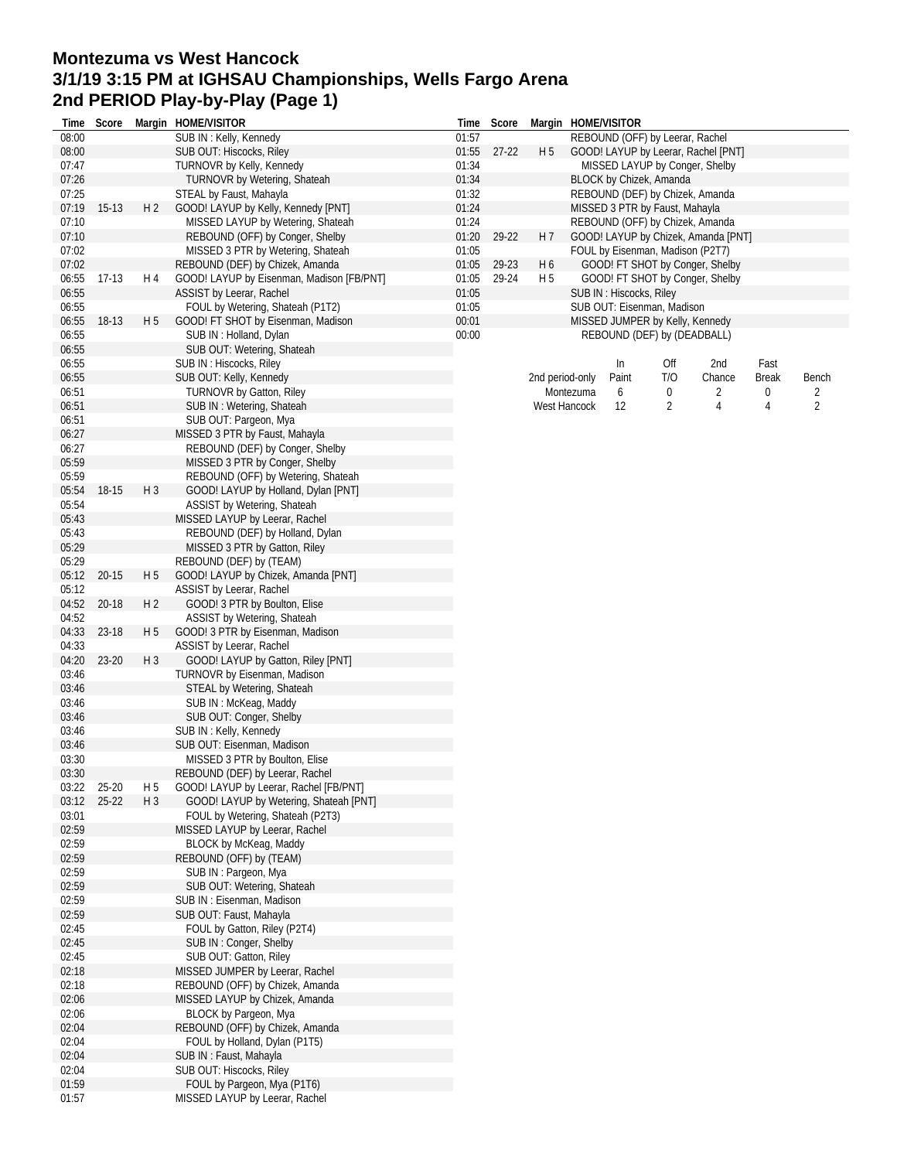## **Montezuma vs West Hancock 3/1/19 3:15 PM at IGHSAU Championships, Wells Fargo Arena 2nd PERIOD Play-by-Play (Page 1)**

| Time  | Score     |                | Margin HOME/VISITOR                       | Time  | Score     |                | Margin HOME/VISITOR |                                  |     |                                     |       |                |
|-------|-----------|----------------|-------------------------------------------|-------|-----------|----------------|---------------------|----------------------------------|-----|-------------------------------------|-------|----------------|
| 08:00 |           |                | SUB IN: Kelly, Kennedy                    | 01:57 |           |                |                     | REBOUND (OFF) by Leerar, Rachel  |     |                                     |       |                |
| 08:00 |           |                | SUB OUT: Hiscocks, Riley                  | 01:55 | $27 - 22$ | H <sub>5</sub> |                     |                                  |     | GOOD! LAYUP by Leerar, Rachel [PNT] |       |                |
| 07:47 |           |                | TURNOVR by Kelly, Kennedy                 | 01:34 |           |                |                     |                                  |     | MISSED LAYUP by Conger, Shelby      |       |                |
| 07:26 |           |                | TURNOVR by Wetering, Shateah              | 01:34 |           |                |                     | BLOCK by Chizek, Amanda          |     |                                     |       |                |
| 07:25 |           |                | STEAL by Faust, Mahayla                   | 01:32 |           |                |                     |                                  |     | REBOUND (DEF) by Chizek, Amanda     |       |                |
| 07:19 | $15-13$   | H <sub>2</sub> | GOOD! LAYUP by Kelly, Kennedy [PNT]       | 01:24 |           |                |                     | MISSED 3 PTR by Faust, Mahayla   |     |                                     |       |                |
|       |           |                |                                           |       |           |                |                     |                                  |     |                                     |       |                |
| 07:10 |           |                | MISSED LAYUP by Wetering, Shateah         | 01:24 |           |                |                     |                                  |     | REBOUND (OFF) by Chizek, Amanda     |       |                |
| 07:10 |           |                | REBOUND (OFF) by Conger, Shelby           | 01:20 | 29-22     | H 7            |                     |                                  |     | GOOD! LAYUP by Chizek, Amanda [PNT] |       |                |
| 07:02 |           |                | MISSED 3 PTR by Wetering, Shateah         | 01:05 |           |                |                     | FOUL by Eisenman, Madison (P2T7) |     |                                     |       |                |
| 07:02 |           |                | REBOUND (DEF) by Chizek, Amanda           | 01:05 | 29-23     | H <sub>6</sub> |                     |                                  |     | GOOD! FT SHOT by Conger, Shelby     |       |                |
| 06:55 | $17-13$   | H 4            | GOOD! LAYUP by Eisenman, Madison [FB/PNT] | 01:05 | 29-24     | H <sub>5</sub> |                     |                                  |     | GOOD! FT SHOT by Conger, Shelby     |       |                |
| 06:55 |           |                | ASSIST by Leerar, Rachel                  | 01:05 |           |                |                     | SUB IN : Hiscocks, Riley         |     |                                     |       |                |
| 06:55 |           |                | FOUL by Wetering, Shateah (P1T2)          | 01:05 |           |                |                     | SUB OUT: Eisenman, Madison       |     |                                     |       |                |
| 06:55 | 18-13     | H <sub>5</sub> | GOOD! FT SHOT by Eisenman, Madison        | 00:01 |           |                |                     | MISSED JUMPER by Kelly, Kennedy  |     |                                     |       |                |
|       |           |                |                                           |       |           |                |                     |                                  |     |                                     |       |                |
| 06:55 |           |                | SUB IN: Holland, Dylan                    | 00:00 |           |                |                     | REBOUND (DEF) by (DEADBALL)      |     |                                     |       |                |
| 06:55 |           |                | SUB OUT: Wetering, Shateah                |       |           |                |                     |                                  |     |                                     |       |                |
| 06:55 |           |                | SUB IN: Hiscocks, Riley                   |       |           |                |                     | In                               | Off | 2nd                                 | Fast  |                |
| 06:55 |           |                | SUB OUT: Kelly, Kennedy                   |       |           |                | 2nd period-only     | Paint                            | T/O | Chance                              | Break | Bench          |
| 06:51 |           |                | <b>TURNOVR by Gatton, Riley</b>           |       |           |                | Montezuma           | 6                                | 0   | 2                                   | 0     | 2              |
| 06:51 |           |                | SUB IN: Wetering, Shateah                 |       |           |                | <b>West Hancock</b> | 12                               | 2   | 4                                   | 4     | $\overline{2}$ |
| 06:51 |           |                | SUB OUT: Pargeon, Mya                     |       |           |                |                     |                                  |     |                                     |       |                |
| 06:27 |           |                | MISSED 3 PTR by Faust, Mahayla            |       |           |                |                     |                                  |     |                                     |       |                |
|       |           |                |                                           |       |           |                |                     |                                  |     |                                     |       |                |
| 06:27 |           |                | REBOUND (DEF) by Conger, Shelby           |       |           |                |                     |                                  |     |                                     |       |                |
| 05:59 |           |                | MISSED 3 PTR by Conger, Shelby            |       |           |                |                     |                                  |     |                                     |       |                |
| 05:59 |           |                | REBOUND (OFF) by Wetering, Shateah        |       |           |                |                     |                                  |     |                                     |       |                |
| 05:54 | 18-15     | $H_3$          | GOOD! LAYUP by Holland, Dylan [PNT]       |       |           |                |                     |                                  |     |                                     |       |                |
| 05:54 |           |                | ASSIST by Wetering, Shateah               |       |           |                |                     |                                  |     |                                     |       |                |
| 05:43 |           |                | MISSED LAYUP by Leerar, Rachel            |       |           |                |                     |                                  |     |                                     |       |                |
| 05:43 |           |                | REBOUND (DEF) by Holland, Dylan           |       |           |                |                     |                                  |     |                                     |       |                |
| 05:29 |           |                | MISSED 3 PTR by Gatton, Riley             |       |           |                |                     |                                  |     |                                     |       |                |
|       |           |                |                                           |       |           |                |                     |                                  |     |                                     |       |                |
| 05:29 |           |                | REBOUND (DEF) by (TEAM)                   |       |           |                |                     |                                  |     |                                     |       |                |
| 05:12 | $20 - 15$ | H <sub>5</sub> | GOOD! LAYUP by Chizek, Amanda [PNT]       |       |           |                |                     |                                  |     |                                     |       |                |
| 05:12 |           |                | ASSIST by Leerar, Rachel                  |       |           |                |                     |                                  |     |                                     |       |                |
| 04:52 | 20-18     | H <sub>2</sub> | GOOD! 3 PTR by Boulton, Elise             |       |           |                |                     |                                  |     |                                     |       |                |
| 04:52 |           |                | ASSIST by Wetering, Shateah               |       |           |                |                     |                                  |     |                                     |       |                |
| 04:33 | 23-18     | H 5            | GOOD! 3 PTR by Eisenman, Madison          |       |           |                |                     |                                  |     |                                     |       |                |
| 04:33 |           |                | ASSIST by Leerar, Rachel                  |       |           |                |                     |                                  |     |                                     |       |                |
| 04:20 | 23-20     | $H_3$          | GOOD! LAYUP by Gatton, Riley [PNT]        |       |           |                |                     |                                  |     |                                     |       |                |
|       |           |                |                                           |       |           |                |                     |                                  |     |                                     |       |                |
| 03:46 |           |                | TURNOVR by Eisenman, Madison              |       |           |                |                     |                                  |     |                                     |       |                |
| 03:46 |           |                | STEAL by Wetering, Shateah                |       |           |                |                     |                                  |     |                                     |       |                |
| 03:46 |           |                | SUB IN: McKeag, Maddy                     |       |           |                |                     |                                  |     |                                     |       |                |
| 03:46 |           |                | SUB OUT: Conger, Shelby                   |       |           |                |                     |                                  |     |                                     |       |                |
| 03:46 |           |                | SUB IN: Kelly, Kennedy                    |       |           |                |                     |                                  |     |                                     |       |                |
| 03:46 |           |                | SUB OUT: Eisenman, Madison                |       |           |                |                     |                                  |     |                                     |       |                |
| 03:30 |           |                | MISSED 3 PTR by Boulton, Elise            |       |           |                |                     |                                  |     |                                     |       |                |
| 03:30 |           |                | REBOUND (DEF) by Leerar, Rachel           |       |           |                |                     |                                  |     |                                     |       |                |
|       |           |                | GOOD! LAYUP by Leerar, Rachel [FB/PNT]    |       |           |                |                     |                                  |     |                                     |       |                |
| 03:22 | 25-20     | H 5            |                                           |       |           |                |                     |                                  |     |                                     |       |                |
| 03:12 | $25-22$   | $H_3$          | GOOD! LAYUP by Wetering, Shateah [PNT]    |       |           |                |                     |                                  |     |                                     |       |                |
| 03:01 |           |                | FOUL by Wetering, Shateah (P2T3)          |       |           |                |                     |                                  |     |                                     |       |                |
| 02:59 |           |                | MISSED LAYUP by Leerar, Rachel            |       |           |                |                     |                                  |     |                                     |       |                |
| 02:59 |           |                | BLOCK by McKeag, Maddy                    |       |           |                |                     |                                  |     |                                     |       |                |
| 02:59 |           |                | REBOUND (OFF) by (TEAM)                   |       |           |                |                     |                                  |     |                                     |       |                |
| 02:59 |           |                | SUB IN: Pargeon, Mya                      |       |           |                |                     |                                  |     |                                     |       |                |
| 02:59 |           |                | SUB OUT: Wetering, Shateah                |       |           |                |                     |                                  |     |                                     |       |                |
| 02:59 |           |                | SUB IN: Eisenman, Madison                 |       |           |                |                     |                                  |     |                                     |       |                |
|       |           |                | SUB OUT: Faust, Mahayla                   |       |           |                |                     |                                  |     |                                     |       |                |
| 02:59 |           |                |                                           |       |           |                |                     |                                  |     |                                     |       |                |
| 02:45 |           |                | FOUL by Gatton, Riley (P2T4)              |       |           |                |                     |                                  |     |                                     |       |                |
| 02:45 |           |                | SUB IN: Conger, Shelby                    |       |           |                |                     |                                  |     |                                     |       |                |
| 02:45 |           |                | SUB OUT: Gatton, Riley                    |       |           |                |                     |                                  |     |                                     |       |                |
| 02:18 |           |                | MISSED JUMPER by Leerar, Rachel           |       |           |                |                     |                                  |     |                                     |       |                |
| 02:18 |           |                | REBOUND (OFF) by Chizek, Amanda           |       |           |                |                     |                                  |     |                                     |       |                |
| 02:06 |           |                | MISSED LAYUP by Chizek, Amanda            |       |           |                |                     |                                  |     |                                     |       |                |
| 02:06 |           |                | BLOCK by Pargeon, Mya                     |       |           |                |                     |                                  |     |                                     |       |                |
| 02:04 |           |                |                                           |       |           |                |                     |                                  |     |                                     |       |                |
|       |           |                | REBOUND (OFF) by Chizek, Amanda           |       |           |                |                     |                                  |     |                                     |       |                |
| 02:04 |           |                | FOUL by Holland, Dylan (P1T5)             |       |           |                |                     |                                  |     |                                     |       |                |
| 02:04 |           |                | SUB IN: Faust, Mahayla                    |       |           |                |                     |                                  |     |                                     |       |                |
| 02:04 |           |                | SUB OUT: Hiscocks, Riley                  |       |           |                |                     |                                  |     |                                     |       |                |
| 01:59 |           |                | FOUL by Pargeon, Mya (P1T6)               |       |           |                |                     |                                  |     |                                     |       |                |
| 01:57 |           |                | MISSED LAYUP by Leerar, Rachel            |       |           |                |                     |                                  |     |                                     |       |                |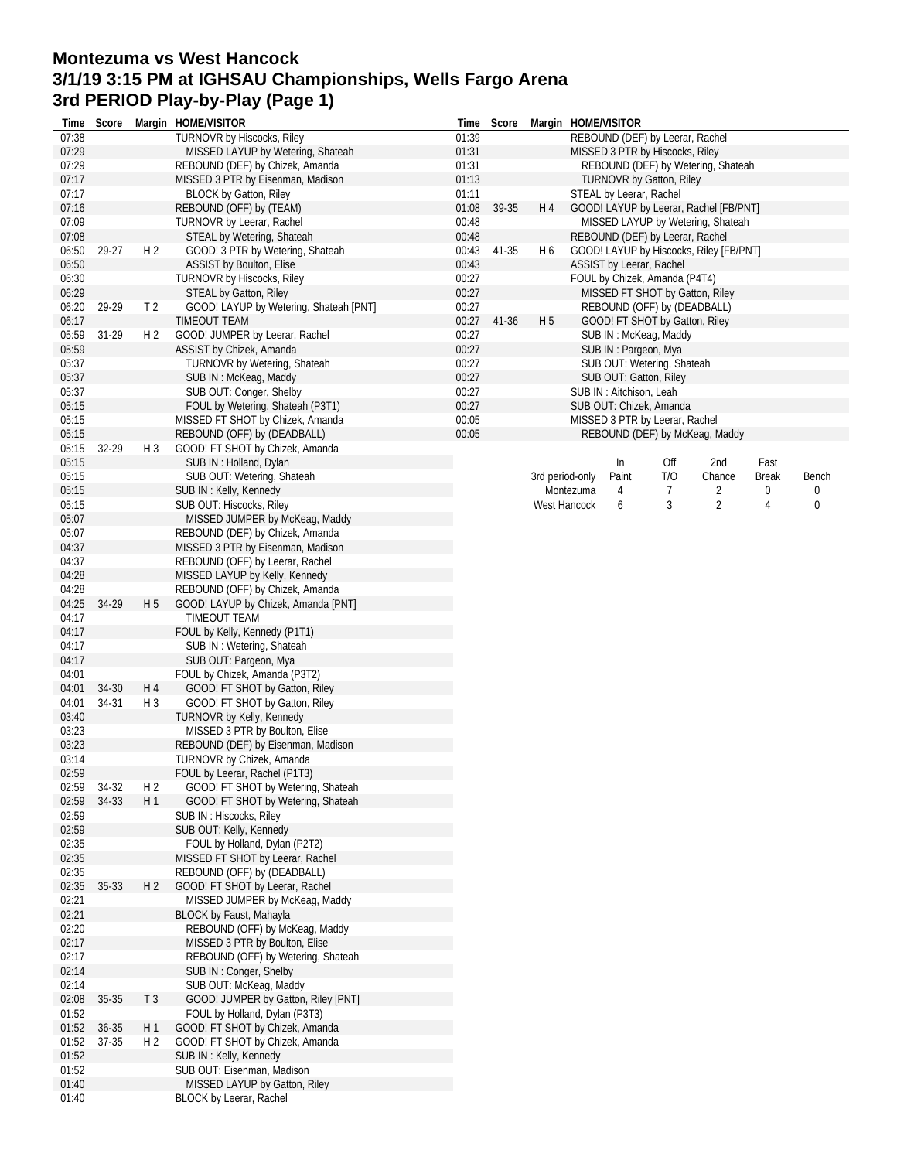## **Montezuma vs West Hancock 3/1/19 3:15 PM at IGHSAU Championships, Wells Fargo Arena 3rd PERIOD Play-by-Play (Page 1)**

| Time           | Score |                | Margin HOME/VISITOR                                    | Time           | Score |                 | Margin HOME/VISITOR |                          |                                                         |                                         |       |                  |
|----------------|-------|----------------|--------------------------------------------------------|----------------|-------|-----------------|---------------------|--------------------------|---------------------------------------------------------|-----------------------------------------|-------|------------------|
| 07:38          |       |                | <b>TURNOVR by Hiscocks, Riley</b>                      | 01:39          |       |                 |                     |                          | REBOUND (DEF) by Leerar, Rachel                         |                                         |       |                  |
| 07:29          |       |                | MISSED LAYUP by Wetering, Shateah                      | 01:31          |       |                 |                     |                          | MISSED 3 PTR by Hiscocks, Riley                         |                                         |       |                  |
| 07:29          |       |                | REBOUND (DEF) by Chizek, Amanda                        | 01:31          |       |                 |                     |                          |                                                         | REBOUND (DEF) by Wetering, Shateah      |       |                  |
| 07:17          |       |                | MISSED 3 PTR by Eisenman, Madison                      | 01:13          |       |                 |                     |                          | TURNOVR by Gatton, Riley                                |                                         |       |                  |
| 07:17          |       |                | <b>BLOCK by Gatton, Riley</b>                          | 01:11          |       |                 |                     | STEAL by Leerar, Rachel  |                                                         |                                         |       |                  |
| 07:16          |       |                | REBOUND (OFF) by (TEAM)                                | 01:08          | 39-35 | H <sub>4</sub>  |                     |                          |                                                         | GOOD! LAYUP by Leerar, Rachel [FB/PNT]  |       |                  |
| 07:09          |       |                | TURNOVR by Leerar, Rachel                              | 00:48          |       |                 |                     |                          |                                                         | MISSED LAYUP by Wetering, Shateah       |       |                  |
| 07:08          |       |                | STEAL by Wetering, Shateah                             | 00:48          |       |                 |                     |                          | REBOUND (DEF) by Leerar, Rachel                         |                                         |       |                  |
| 06:50          | 29-27 | H <sub>2</sub> | GOOD! 3 PTR by Wetering, Shateah                       | 00:43          | 41-35 | H6              |                     |                          |                                                         | GOOD! LAYUP by Hiscocks, Riley [FB/PNT] |       |                  |
| 06:50          |       |                | ASSIST by Boulton, Elise                               | 00:43          |       |                 |                     | ASSIST by Leerar, Rachel |                                                         |                                         |       |                  |
| 06:30          |       |                | TURNOVR by Hiscocks, Riley                             | 00:27          |       |                 |                     |                          | FOUL by Chizek, Amanda (P4T4)                           |                                         |       |                  |
| 06:29          |       |                | <b>STEAL by Gatton, Riley</b>                          | 00:27          |       |                 |                     |                          | REBOUND (OFF) by (DEADBALL)                             | MISSED FT SHOT by Gatton, Riley         |       |                  |
| 06:20<br>06:17 | 29-29 | T <sub>2</sub> | GOOD! LAYUP by Wetering, Shateah [PNT]<br>TIMEOUT TEAM | 00:27          | 41-36 | H <sub>5</sub>  |                     |                          |                                                         |                                         |       |                  |
| 05:59          | 31-29 | H <sub>2</sub> | GOOD! JUMPER by Leerar, Rachel                         | 00:27<br>00:27 |       |                 |                     |                          | GOOD! FT SHOT by Gatton, Riley<br>SUB IN: McKeag, Maddy |                                         |       |                  |
| 05:59          |       |                | ASSIST by Chizek, Amanda                               | 00:27          |       |                 |                     | SUB IN: Pargeon, Mya     |                                                         |                                         |       |                  |
| 05:37          |       |                | TURNOVR by Wetering, Shateah                           | 00:27          |       |                 |                     |                          | SUB OUT: Wetering, Shateah                              |                                         |       |                  |
| 05:37          |       |                | SUB IN: McKeag, Maddy                                  | 00:27          |       |                 |                     | SUB OUT: Gatton, Riley   |                                                         |                                         |       |                  |
| 05:37          |       |                | SUB OUT: Conger, Shelby                                | 00:27          |       |                 |                     | SUB IN: Aitchison, Leah  |                                                         |                                         |       |                  |
| 05:15          |       |                | FOUL by Wetering, Shateah (P3T1)                       | 00:27          |       |                 |                     |                          | SUB OUT: Chizek, Amanda                                 |                                         |       |                  |
| 05:15          |       |                | MISSED FT SHOT by Chizek, Amanda                       | 00:05          |       |                 |                     |                          | MISSED 3 PTR by Leerar, Rachel                          |                                         |       |                  |
| 05:15          |       |                | REBOUND (OFF) by (DEADBALL)                            | 00:05          |       |                 |                     |                          |                                                         | REBOUND (DEF) by McKeag, Maddy          |       |                  |
| 05:15          | 32-29 | $H_3$          | GOOD! FT SHOT by Chizek, Amanda                        |                |       |                 |                     |                          |                                                         |                                         |       |                  |
| 05:15          |       |                | SUB IN: Holland, Dylan                                 |                |       |                 |                     | In                       | Off                                                     | 2nd                                     | Fast  |                  |
| 05:15          |       |                | SUB OUT: Wetering, Shateah                             |                |       | 3rd period-only |                     | Paint                    | T/O                                                     | Chance                                  | Break | Bench            |
| 05:15          |       |                | SUB IN: Kelly, Kennedy                                 |                |       |                 | Montezuma           | 4                        | 7                                                       | 2                                       | 0     | 0                |
| 05:15          |       |                | SUB OUT: Hiscocks, Riley                               |                |       |                 | West Hancock        | 6                        | 3                                                       | $\overline{2}$                          | 4     | $\boldsymbol{0}$ |
| 05:07          |       |                | MISSED JUMPER by McKeag, Maddy                         |                |       |                 |                     |                          |                                                         |                                         |       |                  |
| 05:07          |       |                | REBOUND (DEF) by Chizek, Amanda                        |                |       |                 |                     |                          |                                                         |                                         |       |                  |
| 04:37          |       |                | MISSED 3 PTR by Eisenman, Madison                      |                |       |                 |                     |                          |                                                         |                                         |       |                  |
| 04:37          |       |                | REBOUND (OFF) by Leerar, Rachel                        |                |       |                 |                     |                          |                                                         |                                         |       |                  |
| 04:28          |       |                | MISSED LAYUP by Kelly, Kennedy                         |                |       |                 |                     |                          |                                                         |                                         |       |                  |
| 04:28          |       |                | REBOUND (OFF) by Chizek, Amanda                        |                |       |                 |                     |                          |                                                         |                                         |       |                  |
| 04:25          | 34-29 | H 5            | GOOD! LAYUP by Chizek, Amanda [PNT]                    |                |       |                 |                     |                          |                                                         |                                         |       |                  |
| 04:17          |       |                | TIMEOUT TEAM                                           |                |       |                 |                     |                          |                                                         |                                         |       |                  |
| 04:17          |       |                | FOUL by Kelly, Kennedy (P1T1)                          |                |       |                 |                     |                          |                                                         |                                         |       |                  |
| 04:17          |       |                | SUB IN: Wetering, Shateah                              |                |       |                 |                     |                          |                                                         |                                         |       |                  |
| 04:17          |       |                | SUB OUT: Pargeon, Mya                                  |                |       |                 |                     |                          |                                                         |                                         |       |                  |
| 04:01          |       |                | FOUL by Chizek, Amanda (P3T2)                          |                |       |                 |                     |                          |                                                         |                                         |       |                  |
| 04:01          | 34-30 | H 4            | GOOD! FT SHOT by Gatton, Riley                         |                |       |                 |                     |                          |                                                         |                                         |       |                  |
| 04:01          | 34-31 | H <sub>3</sub> | GOOD! FT SHOT by Gatton, Riley                         |                |       |                 |                     |                          |                                                         |                                         |       |                  |
| 03:40          |       |                | TURNOVR by Kelly, Kennedy                              |                |       |                 |                     |                          |                                                         |                                         |       |                  |
| 03:23          |       |                | MISSED 3 PTR by Boulton, Elise                         |                |       |                 |                     |                          |                                                         |                                         |       |                  |
| 03:23          |       |                | REBOUND (DEF) by Eisenman, Madison                     |                |       |                 |                     |                          |                                                         |                                         |       |                  |
| 03:14          |       |                | TURNOVR by Chizek, Amanda                              |                |       |                 |                     |                          |                                                         |                                         |       |                  |
| 02:59          |       |                | FOUL by Leerar, Rachel (P1T3)                          |                |       |                 |                     |                          |                                                         |                                         |       |                  |
| 02:59          | 34-32 | H 2            | GOOD! FT SHOT by Wetering, Shateah                     |                |       |                 |                     |                          |                                                         |                                         |       |                  |
| 02:59          | 34-33 | H1             | GOOD! FT SHOT by Wetering, Shateah                     |                |       |                 |                     |                          |                                                         |                                         |       |                  |
| 02:59          |       |                | SUB IN: Hiscocks, Riley                                |                |       |                 |                     |                          |                                                         |                                         |       |                  |
| 02:59          |       |                | SUB OUT: Kelly, Kennedy                                |                |       |                 |                     |                          |                                                         |                                         |       |                  |
| 02:35          |       |                | FOUL by Holland, Dylan (P2T2)                          |                |       |                 |                     |                          |                                                         |                                         |       |                  |
| 02:35          |       |                | MISSED FT SHOT by Leerar, Rachel                       |                |       |                 |                     |                          |                                                         |                                         |       |                  |
| 02:35          |       |                | REBOUND (OFF) by (DEADBALL)                            |                |       |                 |                     |                          |                                                         |                                         |       |                  |
| 02:35          | 35-33 | H <sub>2</sub> | GOOD! FT SHOT by Leerar, Rachel                        |                |       |                 |                     |                          |                                                         |                                         |       |                  |
| 02:21          |       |                | MISSED JUMPER by McKeag, Maddy                         |                |       |                 |                     |                          |                                                         |                                         |       |                  |
| 02:21          |       |                | BLOCK by Faust, Mahayla                                |                |       |                 |                     |                          |                                                         |                                         |       |                  |
| 02:20          |       |                | REBOUND (OFF) by McKeag, Maddy                         |                |       |                 |                     |                          |                                                         |                                         |       |                  |
| 02:17          |       |                | MISSED 3 PTR by Boulton, Elise                         |                |       |                 |                     |                          |                                                         |                                         |       |                  |
| 02:17          |       |                | REBOUND (OFF) by Wetering, Shateah                     |                |       |                 |                     |                          |                                                         |                                         |       |                  |
| 02:14          |       |                | SUB IN: Conger, Shelby                                 |                |       |                 |                     |                          |                                                         |                                         |       |                  |
| 02:14          |       |                | SUB OUT: McKeag, Maddy                                 |                |       |                 |                     |                          |                                                         |                                         |       |                  |
| 02:08          | 35-35 | T <sub>3</sub> | GOOD! JUMPER by Gatton, Riley [PNT]                    |                |       |                 |                     |                          |                                                         |                                         |       |                  |
| 01:52          |       |                | FOUL by Holland, Dylan (P3T3)                          |                |       |                 |                     |                          |                                                         |                                         |       |                  |
| 01:52          | 36-35 | H1             | GOOD! FT SHOT by Chizek, Amanda                        |                |       |                 |                     |                          |                                                         |                                         |       |                  |
| 01:52          | 37-35 | H <sub>2</sub> | GOOD! FT SHOT by Chizek, Amanda                        |                |       |                 |                     |                          |                                                         |                                         |       |                  |
| 01:52          |       |                | SUB IN: Kelly, Kennedy                                 |                |       |                 |                     |                          |                                                         |                                         |       |                  |
| 01:52          |       |                | SUB OUT: Eisenman, Madison                             |                |       |                 |                     |                          |                                                         |                                         |       |                  |
| 01:40          |       |                | MISSED LAYUP by Gatton, Riley                          |                |       |                 |                     |                          |                                                         |                                         |       |                  |
| 01:40          |       |                | BLOCK by Leerar, Rachel                                |                |       |                 |                     |                          |                                                         |                                         |       |                  |